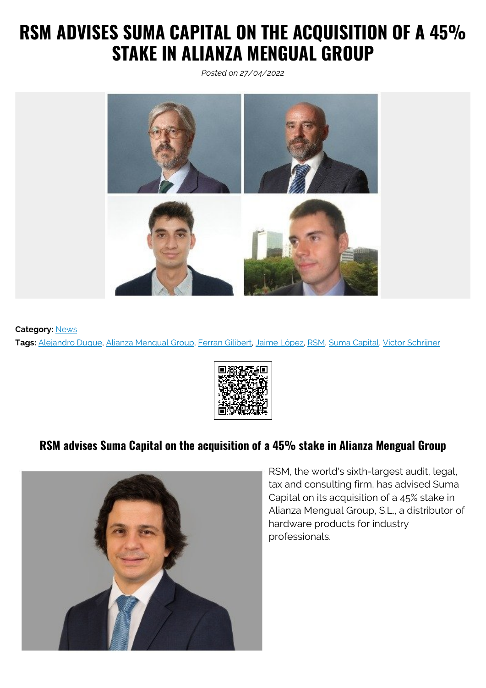## **RSM ADVISES SUMA CAPITAL ON THE ACQUISITION OF A 45% STAKE IN ALIANZA MENGUAL GROUP**

*Posted on 27/04/2022*



**Category:** [News](https://iberianlawyer.com/category/news/) **Tags:** [Alejandro Duque](https://iberianlawyer.com/tag/alejandro-duque/), [Alianza Mengual Group,](https://iberianlawyer.com/tag/alianza-mengual-group/) [Ferran Gilibert](https://iberianlawyer.com/tag/ferran-gilibert/), [Jaime López](https://iberianlawyer.com/tag/jaime-lopez/), [RSM](https://iberianlawyer.com/tag/rsm/), [Suma Capital](https://iberianlawyer.com/tag/suma-capital/), [Victor Schrijner](https://iberianlawyer.com/tag/victor-schrijner/)



## **RSM advises Suma Capital on the acquisition of a 45% stake in Alianza Mengual Group**



RSM, the world's sixth-largest audit, legal, tax and consulting firm, has advised Suma Capital on its acquisition of a 45% stake in Alianza Mengual Group, S.L., a distributor of hardware products for industry professionals.